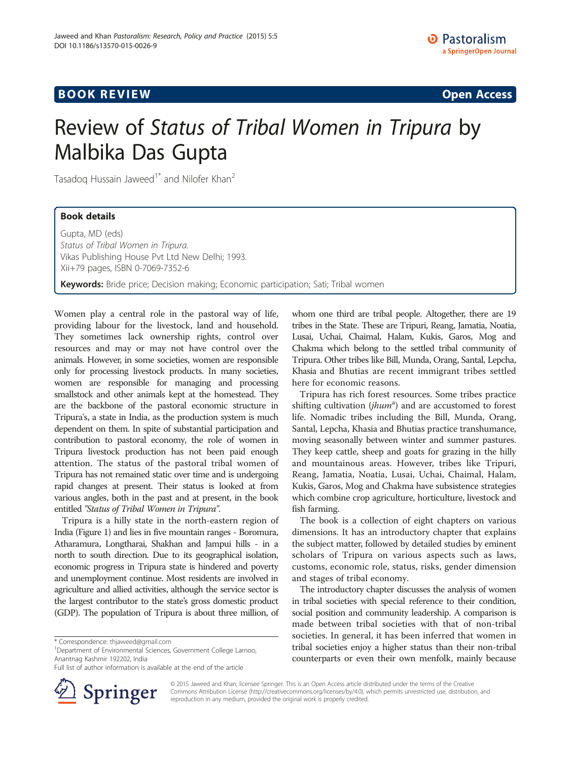## **BOOK REVIEW CONTROL** BOOK REVIEW

# Review of Status of Tribal Women in Tripura by Malbika Das Gupta

Tasadog Hussain Jaweed<sup>1\*</sup> and Nilofer Khan<sup>2</sup>

### Book details

Gupta, MD (eds) Status of Tribal Women in Tripura. Vikas Publishing House Pvt Ltd New Delhi; 1993. Xii+79 pages, ISBN 0-7069-7352-6

Keywords: Bride price; Decision making; Economic participation; Sati; Tribal women

Women play a central role in the pastoral way of life, providing labour for the livestock, land and household. They sometimes lack ownership rights, control over resources and may or may not have control over the animals. However, in some societies, women are responsible only for processing livestock products. In many societies, women are responsible for managing and processing smallstock and other animals kept at the homestead. They are the backbone of the pastoral economic structure in Tripura's, a state in India, as the production system is much dependent on them. In spite of substantial participation and contribution to pastoral economy, the role of women in Tripura livestock production has not been paid enough attention. The status of the pastoral tribal women of Tripura has not remained static over time and is undergoing rapid changes at present. Their status is looked at from various angles, both in the past and at present, in the book entitled "Status of Tribal Women in Tripura".

Tripura is a hilly state in the north-eastern region of India (Figure [1\)](#page-1-0) and lies in five mountain ranges - Boromura, Atharamura, Longtharai, Shakhan and Jampui hills - in a north to south direction. Due to its geographical isolation, economic progress in Tripura state is hindered and poverty and unemployment continue. Most residents are involved in agriculture and allied activities, although the service sector is the largest contributor to the state's gross domestic product (GDP). The population of Tripura is about three million, of

Full list of author information is available at the end of the article



whom one third are tribal people. Altogether, there are 19 tribes in the State. These are Tripuri, Reang, Jamatia, Noatia, Lusai, Uchai, Chaimal, Halam, Kukis, Garos, Mog and Chakma which belong to the settled tribal community of Tripura. Other tribes like Bill, Munda, Orang, Santal, Lepcha, Khasia and Bhutias are recent immigrant tribes settled here for economic reasons.

Tripura has rich forest resources. Some tribes practice shifting cultivation  $(jhum^a)$  and are accustomed to forest life. Nomadic tribes including the Bill, Munda, Orang, Santal, Lepcha, Khasia and Bhutias practice transhumance, moving seasonally between winter and summer pastures. They keep cattle, sheep and goats for grazing in the hilly and mountainous areas. However, tribes like Tripuri, Reang, Jamatia, Noatia, Lusai, Uchai, Chaimal, Halam, Kukis, Garos, Mog and Chakma have subsistence strategies which combine crop agriculture, horticulture, livestock and fish farming.

The book is a collection of eight chapters on various dimensions. It has an introductory chapter that explains the subject matter, followed by detailed studies by eminent scholars of Tripura on various aspects such as laws, customs, economic role, status, risks, gender dimension and stages of tribal economy.

The introductory chapter discusses the analysis of women in tribal societies with special reference to their condition, social position and community leadership. A comparison is made between tribal societies with that of non-tribal societies. In general, it has been inferred that women in tribal societies enjoy a higher status than their non-tribal counterparts or even their own menfolk, mainly because

© 2015 Jaweed and Khan; licensee Springer. This is an Open Access article distributed under the terms of the Creative Commons Attribution License (<http://creativecommons.org/licenses/by/4.0>), which permits unrestricted use, distribution, and reproduction in any medium, provided the original work is properly credited.

<sup>\*</sup> Correspondence: [thjaweed@gmail.com](mailto:thjaweed@gmail.com) <sup>1</sup>

<sup>&</sup>lt;sup>1</sup>Department of Environmental Sciences, Government College Larnoo, Anantnag Kashmir 192202, India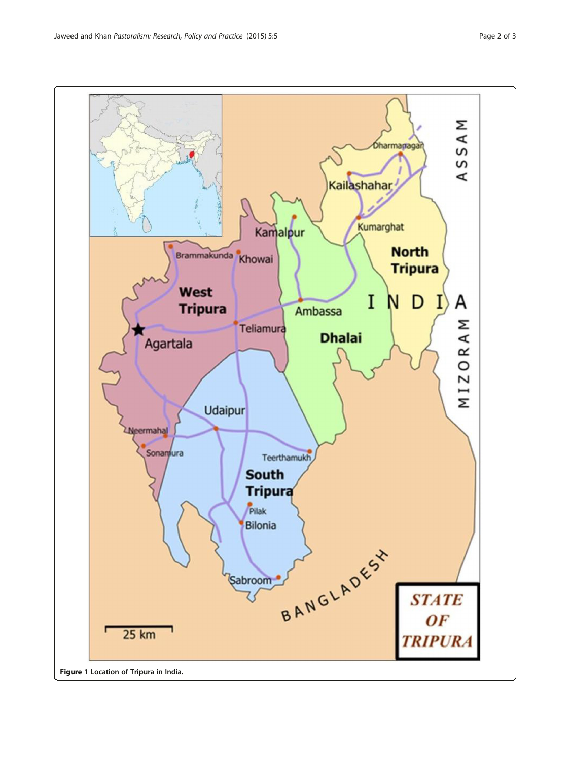<span id="page-1-0"></span>